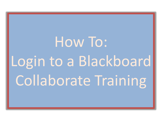How To: Login to a Blackboard Collaborate Training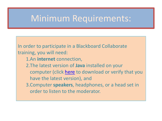# Minimum Requirements:

In order to participate in a Blackboard Collaborate training, you will need: 1.An **internet** connection, 2.The latest version of **Java** installed on your computer (click [here](http://www.java.com/en/download/installed.jsp?detect=jre&try=1) to download or verify that you have the latest version), and 3.Computer **speakers**, headphones, or a head set in order to listen to the moderator.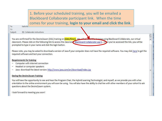1. Before your scheduled training, you will be emailed a Blackboard Collaborate participant link. When the time comes for your training, login to your email and click the link.

| <b>FOR</b> | Ndi id Nill                                                                                                                                                                                                                                                                                                                                                                                                                                                                                                                                                              |    |
|------------|--------------------------------------------------------------------------------------------------------------------------------------------------------------------------------------------------------------------------------------------------------------------------------------------------------------------------------------------------------------------------------------------------------------------------------------------------------------------------------------------------------------------------------------------------------------------------|----|
| Cc:        |                                                                                                                                                                                                                                                                                                                                                                                                                                                                                                                                                                          |    |
| Subject:   | RE: Collaborate instructions                                                                                                                                                                                                                                                                                                                                                                                                                                                                                                                                             |    |
|            | You are confirmed for the Desire2Learn (D2L) training on <i>(date/time)</i> . We will concide the training using Blackboard Collaborate, our virtual<br>classroom. Please click on the following link to access the classroom: Blackboard Collaborate Log In . Once you've accessed the link, you will be<br>prompted to type in your name and click the login button.<br>Please note, you may be asked to download a version of Java if your computer does not have the required software. You may click here to get the<br>required software and test your connection. | Q. |

#### **Requirements for training**

- Computer with internet connection ÷
- Headset or computer speakers ÷,
- Java- download the latest version: http://www.java.com/en/download/index.jsp  $\overline{\mathcal{M}}$

#### **During the Desire2Learn Training**

You will have the opportunity to see and hear the Program Chair, the Hybrid Learning Technologist, and myself, as we provide you with a live orientation to the online environment you will soon be using. You will also have the ability to chat live with other members of your cohort to ask questions about the Desire2Learn system.

I look forward to meeting you soon!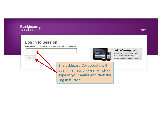## Blackboard »<br>collaborate.

Log In  $\gg$ 

### **Log In to Session**

Please enter your name as you want it to appear in the session.



#### Web conferencing to go.

Get the interaction you want on your iOS or Android mobile device.

**DOWNLOAD THE FREE APP TODAY >** 

2. Blackboard Collaborate will open in a new browser window. Type in your name and click the Log In button.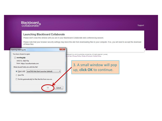## Blackboard »<br>collaborate.»

#### Support

#### **Launching Blackboard Collaborate**

Please don't close this window until you are in your Blackboard Collaborate web conferencing session.

Please note that your browser security settings may block this site from downloading files to your computer. If so, you will need to accept the download of these files.

| $\mathbf{x}$<br>Opening meeting.jnlp                                                                                                                      |                                                                                                                                            |
|-----------------------------------------------------------------------------------------------------------------------------------------------------------|--------------------------------------------------------------------------------------------------------------------------------------------|
| You have chosen to open:<br>圖<br>meeting.jnlp                                                                                                             | ackboard Inc. and its subsidiary companies. All rights reserved. (us-sas)<br>ns of Use   Privacy Policy   Rules of Conduct   Cookie Policy |
| which is: JNLP File<br>from: https://sas.elluminate.com<br>What should Firefox do with this file?<br>Java(TM) Web Start Launcher (default)<br>O Open with | 3. A small window will pop<br>up, click OK to continue.                                                                                    |
| Save File<br>Do this automatically for files like this from now on.<br>m<br>OK<br>Cancel                                                                  |                                                                                                                                            |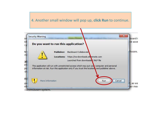### 4. Another small window will pop up, **click Run** to continue.

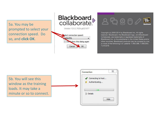5a. You may be prompted to select your connection speed. Do so, and **click OK**.



Version 12.6.2.7629-gb521877





Copyright (c) 2000-2014 by Blackboard Inc, All rights reserved. Blackboard, the Blackboard logo, and Blackboard Collaborate, are trademarks or registered trademarks of Blackboard Inc. or its subsidiaries in the United States and/or other countries. Blackboard products may be covered by one or more of the following U.S. patents: 7,493,396, 7,558,853, 7,816,878.

 $\Sigma$ Connection 5b. You will see this Connecting to host... ✔ Authenticating... window as the training loads. It may take a minute or so to connect. $\triangleright$  Details Hide